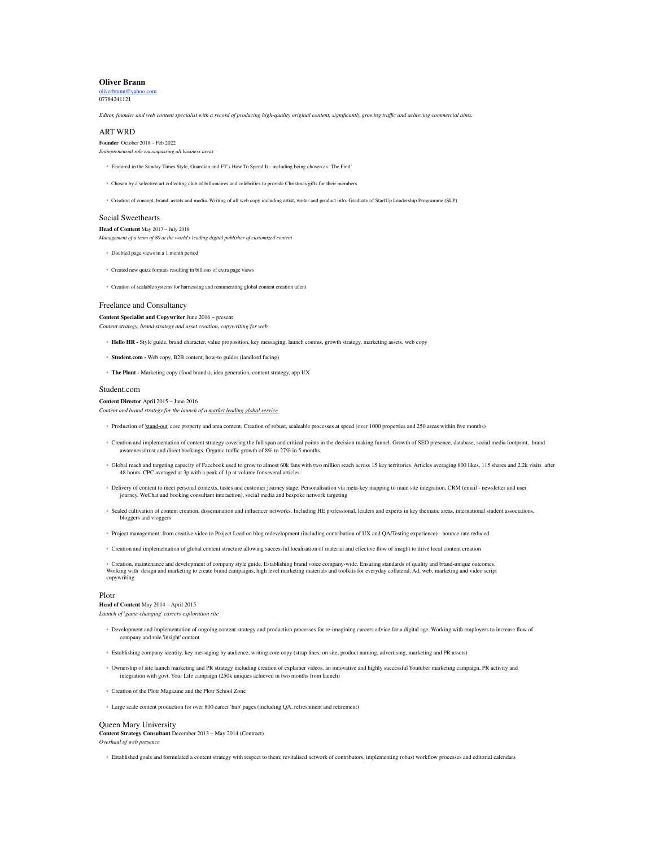# **Oliver Brann**

oliverbrann@yahoo. 07784241121

Editor, founder and web content specialist with a record of producing high-quality original content, significantly growing traffic and achieving commercial aims.

### ART WRD

**Founder** October 2018 – Feb 2022 *Entrepreneurial role encompassing all business areas*

- Featured in the Sunday Times Style, Guardian and FT's How To Spend It including being chosen as 'The Find'
- Chosen by a selective art collecting club of billionaires and celebrities to provide Christmas gifts for their members
- Creation of concept, brand, assets and media. Writing of all web copy including artist, writer and product info. Graduate of StartUp Leadership Programme (SLP)

# Social Sweethearts

# **Head of Content** May 2017 – July 2018

*Management of a team of 80 at the world's leading digital publisher of customized content*

- Doubled page views in a 1 month period
- Created new quizz formats resulting in billions of extra page views
- Creation of scalable systems for harnessing and remunerating global content creation talent

## Freelance and Consultancy

#### **Content Specialist and Copywriter** June 2016 – present

*Content strategy, brand strategy and asset creation, copywriting for web*

- **Hello HR -** Style guide, brand character, value proposition, key messaging, launch comms, growth strategy, marketing assets, web copy
- **Student.com -** Web copy, B2B content, how-to guides (landlord facing)
- **The Plant -** Marketing copy (food brands), idea generation, content strategy, app UX

#### Student.com

**Content Director** April 2015 – June 2016 *Content and brand strategy for the launch of a market leading global service*

- Production of 'stand-out' core property and area content. Creation of robust, scaleable processes at speed (over 1000 properties and 250 areas within five months)
- Creation and implementation of content strategy covering the full span and critical points in the decision making funnel. Growth of SEO presence, database, social media footprint, brand awareness/trust and direct bookings. Organic traffic growth of 8% to 27% in 5 months.
- Global reach and targeting capacity of Facebook used to grow to almost 60k fans with two million reach across 15 key territories. Articles averaging 800 likes, 115 shares and 2.2k visits after 48 hours. CPC averaged at 3p with a peak of 1p at volume for several articles.
- Delivery of content to meet personal contexts, tastes and customer journey stage. Personalisation via meta-key mapping to main site integration, CRM (email newsletter and user journey, WeChat and booking consultant interaction), social media and bespoke network targeting
- Scaled cultivation of content creation, dissemination and influencer networks. Including HE professional, leaders and experts in key thematic areas, international student associations, bloggers and vloggers
- Project management: from creative video to Project Lead on blog redevelopment (including contribution of UX and QA/Testing experience) bounce rate reduced
- Creation and implementation of global content structure allowing successful localisation of material and effective flow of insight to drive local content creation

© Creation, maintenance and development of company style guide. Establishing brand voice company-wide. Ensuring standards of quality and brand-unique outcomes.<br>Working with design and marketing to create brand campaigns, copywriting

#### Plotr

#### **Head of Content** May 2014 – April 2015

*Launch of 'game-changing' careers exploration site*

- Development and implementation of ongoing content strategy and production processes for re-imagining careers advice for a digital age. Working with employers to increase flow of company and role 'insight' content
- Establishing company identity, key messaging by audience, writing core copy (strap lines, on site, product naming, advertising, marketing and PR assets)
- Ownership of site launch marketing and PR strategy including creation of explainer videos, an innovative and highly successful Youtuber marketing campaign, PR activity and integration with govt. Your Life campaign (250k uniques achieved in two months from launch)
- Creation of the Plotr Magazine and the Plotr School Zone
- Large scale content production for over 800 career 'hub' pages (including QA, refreshment and retirement)

#### Queen Mary University

**Content Strategy Consultant** December 2013 – May 2014 (Contract) *Overhaul of web presence*

◦ Established goals and formulated a content strategy with respect to them; revitalised network of contributors, implementing robust workflow processes and editorial calendars